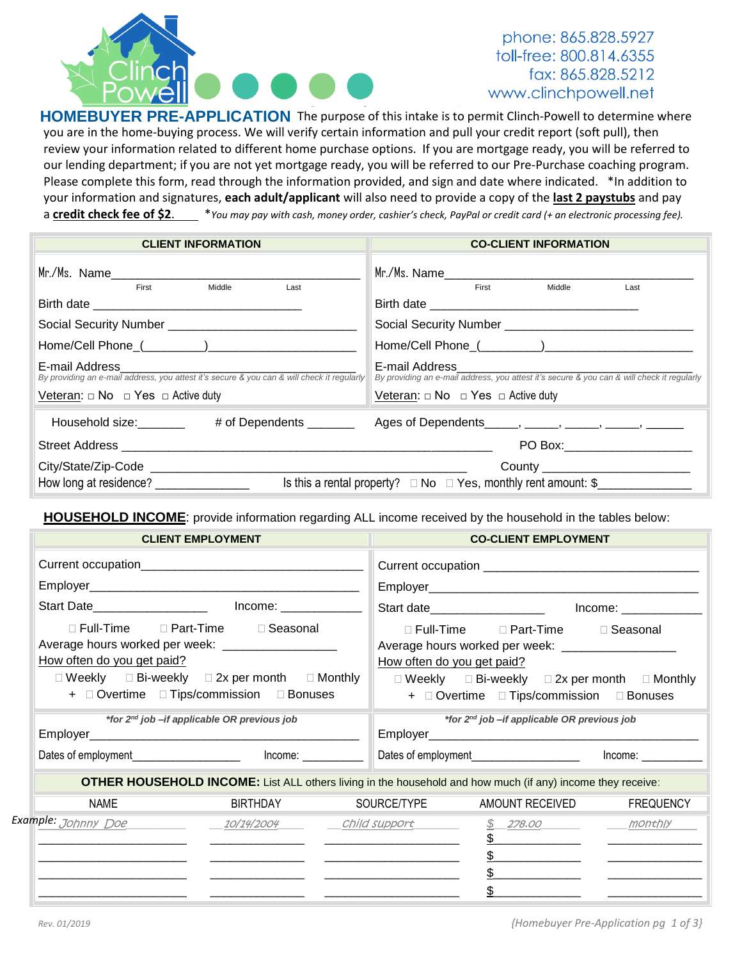

### phone: 865.828.5927 toll-free: 800.814.6355 fax: 865.828.5212 www.clinchpowell.net

HOMEBUYER PRE-APPLICATION The purpose of this intake is to permit Clinch-Powell to determine where you are in the home-buying process. We will verify certain information and pull your credit report (soft pull), then review your information related to different home purchase options. If you are mortgage ready, you will be referred to our lending department; if you are not yet mortgage ready, you will be referred to our Pre-Purchase coaching program. Please complete this form, read through the information provided, and sign and date where indicated. \*In addition to your information and signatures, **each adult/applicant** will also need to provide a copy of the **last 2 paystubs** and pay a credit check fee of \$2 $\mathbf{X}$  \**You may pay with cash, money order, cashier's check, PayPal or credit card (+ an electronic processing fee).* 

| <b>CLIENT INFORMATION</b>                                                                                    | <b>CO-CLIENT INFORMATION</b>                                             |
|--------------------------------------------------------------------------------------------------------------|--------------------------------------------------------------------------|
|                                                                                                              |                                                                          |
| First<br>Middle<br>Last                                                                                      | <b>First Exercise 1999</b><br>Middle<br>Last                             |
|                                                                                                              |                                                                          |
|                                                                                                              |                                                                          |
| E-mail Address<br>By providing an e-mail address, you attest it's secure & you can & will check it regularly |                                                                          |
| Veteran: $\Box$ No $\Box$ Yes $\Box$ Active duty                                                             | Veteran: $\Box$ No $\Box$ Yes $\Box$ Active duty                         |
| Household size: ________ # of Dependents _______ Ages of Dependents _____, _____, _____, _____, ______       |                                                                          |
|                                                                                                              | PO Box:______________________                                            |
|                                                                                                              | County ___________________________                                       |
| How long at residence? _________________                                                                     | Is this a rental property? $\Box$ No $\Box$ Yes, monthly rent amount: \$ |

**HOUSEHOLD INCOME**: provide information regarding ALL income received by the household in the tables below:

|                                                                                   | <b>CLIENT EMPLOYMENT</b>                                                                                                                          |                            | <b>CO-CLIENT EMPLOYMENT</b>                                                                                                                                                                                             |                  |
|-----------------------------------------------------------------------------------|---------------------------------------------------------------------------------------------------------------------------------------------------|----------------------------|-------------------------------------------------------------------------------------------------------------------------------------------------------------------------------------------------------------------------|------------------|
|                                                                                   |                                                                                                                                                   |                            |                                                                                                                                                                                                                         |                  |
|                                                                                   |                                                                                                                                                   |                            |                                                                                                                                                                                                                         |                  |
|                                                                                   |                                                                                                                                                   |                            | Start date______________________  lncome: ____________                                                                                                                                                                  |                  |
| Average hours worked per week: ____________________<br>How often do you get paid? | □ Full-Time □ Part-Time □ Seasonal<br>$\Box$ Weekly $\Box$ Bi-weekly $\Box$ 2x per month $\Box$ Monthly<br>+ Overtime D Tips/commission D Bonuses | How often do you get paid? | $\Box$ Full-Time $\Box$ Part-Time $\Box$ Seasonal<br>Average hours worked per week: ____________________<br>$\Box$ Weekly $\Box$ Bi-weekly $\Box$ 2x per month $\Box$ Monthly<br>+ Overtime D Tips/commission D Bonuses |                  |
|                                                                                   | *for 2 <sup>nd</sup> job - if applicable OR previous job                                                                                          |                            | *for 2 <sup>nd</sup> job-if applicable OR previous job                                                                                                                                                                  |                  |
| Dates of employment________________________________ Income: ______________        |                                                                                                                                                   |                            | Dates of employment_________________________  lncome: _____________                                                                                                                                                     |                  |
|                                                                                   |                                                                                                                                                   |                            | OTHER HOUSEHOLD INCOME: List ALL others living in the household and how much (if any) income they receive:                                                                                                              |                  |
| NAME                                                                              | BIRTHDAY                                                                                                                                          | SOURCE/TYPE                | AMOUNT RECEIVED                                                                                                                                                                                                         | <b>FREQUENCY</b> |
| Example: Johnny Doe                                                               | 10/14/2004 Child support                                                                                                                          |                            | $$278.00$ monthly                                                                                                                                                                                                       |                  |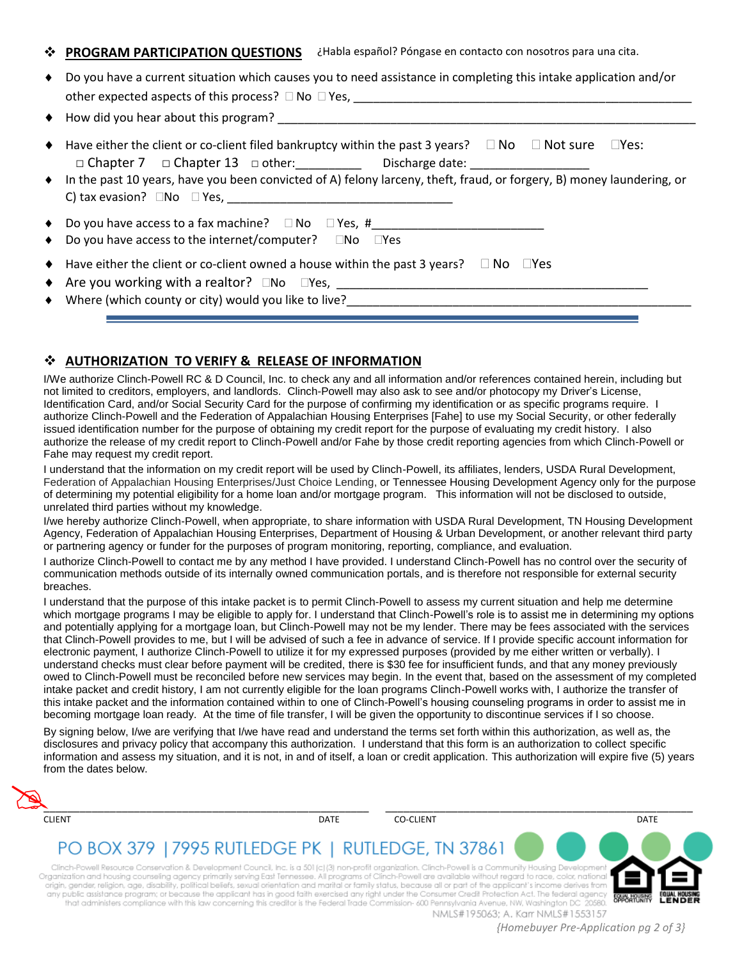#### **PROGRAM PARTICIPATION QUESTIONS**  ¿Habla español? Póngase en contacto con nosotros para una cita.

| ◆ Do you have a current situation which causes you to need assistance in completing this intake application and/or                                                                                                                                                                                                                                 |
|----------------------------------------------------------------------------------------------------------------------------------------------------------------------------------------------------------------------------------------------------------------------------------------------------------------------------------------------------|
|                                                                                                                                                                                                                                                                                                                                                    |
| $\blacklozenge$ Have either the client or co-client filed bankruptcy within the past 3 years? $\Box$ No $\Box$ Not sure $\Box$ Yes:<br>□ Chapter 7 □ Chapter 13 □ other: ____________  Discharge date: ________________<br>• In the past 10 years, have you been convicted of A) felony larceny, theft, fraud, or forgery, B) money laundering, or |
| $\bullet$ Do you have access to a fax machine? $\Box$ No $\Box$ Yes, #<br>$\bullet$ Do you have access to the internet/computer? $\Box$ No $\Box$ Yes                                                                                                                                                                                              |
| $\blacklozenge$ Have either the client or co-client owned a house within the past 3 years? $\Box$ No $\Box$ Yes<br>$\blacklozenge$ Where (which county or city) would you like to live?                                                                                                                                                            |

### **AUTHORIZATION TO VERIFY & RELEASE OF INFORMATION**

I/We authorize Clinch-Powell RC & D Council, Inc. to check any and all information and/or references contained herein, including but not limited to creditors, employers, and landlords. Clinch-Powell may also ask to see and/or photocopy my Driver's License, Identification Card, and/or Social Security Card for the purpose of confirming my identification or as specific programs require. I authorize Clinch-Powell and the Federation of Appalachian Housing Enterprises [Fahe] to use my Social Security, or other federally issued identification number for the purpose of obtaining my credit report for the purpose of evaluating my credit history. I also authorize the release of my credit report to Clinch-Powell and/or Fahe by those credit reporting agencies from which Clinch-Powell or Fahe may request my credit report.

I understand that the information on my credit report will be used by Clinch-Powell, its affiliates, lenders, USDA Rural Development, Federation of Appalachian Housing Enterprises/Just Choice Lending, or Tennessee Housing Development Agency only for the purpose of determining my potential eligibility for a home loan and/or mortgage program. This information will not be disclosed to outside, unrelated third parties without my knowledge.

I/we hereby authorize Clinch-Powell, when appropriate, to share information with USDA Rural Development, TN Housing Development Agency, Federation of Appalachian Housing Enterprises, Department of Housing & Urban Development, or another relevant third party or partnering agency or funder for the purposes of program monitoring, reporting, compliance, and evaluation.

I authorize Clinch-Powell to contact me by any method I have provided. I understand Clinch-Powell has no control over the security of communication methods outside of its internally owned communication portals, and is therefore not responsible for external security breaches.

I understand that the purpose of this intake packet is to permit Clinch-Powell to assess my current situation and help me determine which mortgage programs I may be eligible to apply for. I understand that Clinch-Powell's role is to assist me in determining my options and potentially applying for a mortgage loan, but Clinch-Powell may not be my lender. There may be fees associated with the services that Clinch-Powell provides to me, but I will be advised of such a fee in advance of service. If I provide specific account information for electronic payment, I authorize Clinch-Powell to utilize it for my expressed purposes (provided by me either written or verbally). I understand checks must clear before payment will be credited, there is \$30 fee for insufficient funds, and that any money previously owed to Clinch-Powell must be reconciled before new services may begin. In the event that, based on the assessment of my completed intake packet and credit history, I am not currently eligible for the loan programs Clinch-Powell works with, I authorize the transfer of this intake packet and the information contained within to one of Clinch-Powell's housing counseling programs in order to assist me in becoming mortgage loan ready. At the time of file transfer, I will be given the opportunity to discontinue services if I so choose.

By signing below, I/we are verifying that I/we have read and understand the terms set forth within this authorization, as well as, the disclosures and privacy policy that accompany this authorization. I understand that this form is an authorization to collect specific information and assess my situation, and it is not, in and of itself, a loan or credit application. This authorization will expire five (5) years from the dates below.

| <b>CLIENT</b>                                                                                                                                                                                                                                                                                                                                                                                                                                                                                               | DATE | <b>CO-CLIENT</b> | DATE |
|-------------------------------------------------------------------------------------------------------------------------------------------------------------------------------------------------------------------------------------------------------------------------------------------------------------------------------------------------------------------------------------------------------------------------------------------------------------------------------------------------------------|------|------------------|------|
|                                                                                                                                                                                                                                                                                                                                                                                                                                                                                                             |      |                  |      |
| PO BOX 379   7995 RUTLEDGE PK   RUTLEDGE, TN 37861                                                                                                                                                                                                                                                                                                                                                                                                                                                          |      |                  |      |
|                                                                                                                                                                                                                                                                                                                                                                                                                                                                                                             |      |                  |      |
|                                                                                                                                                                                                                                                                                                                                                                                                                                                                                                             |      |                  |      |
| Clinch-Powell Resource Conservation & Development Council, Inc. is a 501 (c) (3) non-profit organization. Clinch-Powell is a Community Housing Development<br>Organization and housing counseling agency primarily serving East Tennessee. All programs of Clinch-Powell are available without regard to race, color, national<br>origin, gender, religion, age, disability, political beliefs, sexual orientation and marital or family status, because all or part of the applicant's income derives from |      |                  |      |